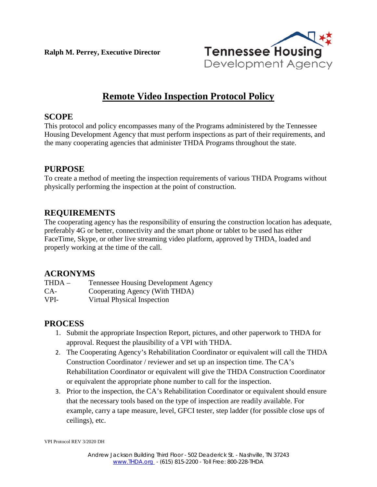**Ralph M. Perrey, Executive Director**



# **Remote Video Inspection Protocol Policy**

### **SCOPE**

This protocol and policy encompasses many of the Programs administered by the Tennessee Housing Development Agency that must perform inspections as part of their requirements, and the many cooperating agencies that administer THDA Programs throughout the state.

# **PURPOSE**

To create a method of meeting the inspection requirements of various THDA Programs without physically performing the inspection at the point of construction.

# **REQUIREMENTS**

The cooperating agency has the responsibility of ensuring the construction location has adequate, preferably 4G or better, connectivity and the smart phone or tablet to be used has either FaceTime, Skype, or other live streaming video platform, approved by THDA, loaded and properly working at the time of the call.

# **ACRONYMS**

| THDA – | <b>Tennessee Housing Development Agency</b> |
|--------|---------------------------------------------|
| CA-    | Cooperating Agency (With THDA)              |
| VPI-   | Virtual Physical Inspection                 |

# **PROCESS**

- 1. Submit the appropriate Inspection Report, pictures, and other paperwork to THDA for approval. Request the plausibility of a VPI with THDA.
- 2. The Cooperating Agency's Rehabilitation Coordinator or equivalent will call the THDA Construction Coordinator / reviewer and set up an inspection time. The CA's Rehabilitation Coordinator or equivalent will give the THDA Construction Coordinator or equivalent the appropriate phone number to call for the inspection.
- 3. Prior to the inspection, the CA's Rehabilitation Coordinator or equivalent should ensure that the necessary tools based on the type of inspection are readily available. For example, carry a tape measure, level, GFCI tester, step ladder (for possible close ups of ceilings), etc.

VPI Protocol REV 3/2020 DH